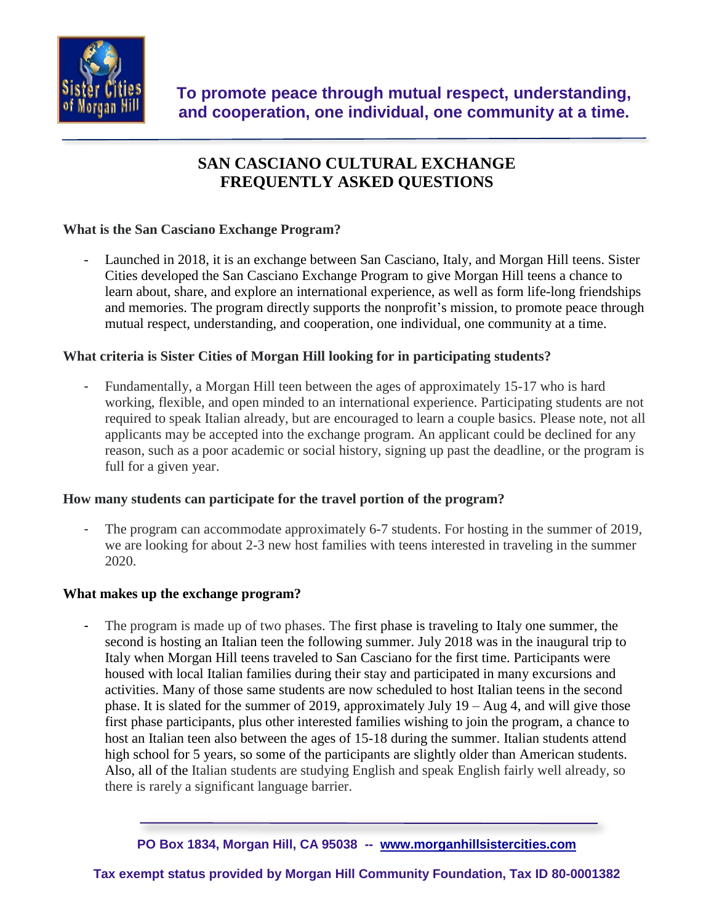

# **SAN CASCIANO CULTURAL EXCHANGE FREQUENTLY ASKED QUESTIONS**

## **What is the San Casciano Exchange Program?**

Launched in 2018, it is an exchange between San Casciano, Italy, and Morgan Hill teens. Sister Cities developed the San Casciano Exchange Program to give Morgan Hill teens a chance to learn about, share, and explore an international experience, as well as form life-long friendships and memories. The program directly supports the nonprofit's mission, to promote peace through mutual respect, understanding, and cooperation, one individual, one community at a time.

## **What criteria is Sister Cities of Morgan Hill looking for in participating students?**

Fundamentally, a Morgan Hill teen between the ages of approximately 15-17 who is hard working, flexible, and open minded to an international experience. Participating students are not required to speak Italian already, but are encouraged to learn a couple basics. Please note, not all applicants may be accepted into the exchange program. An applicant could be declined for any reason, such as a poor academic or social history, signing up past the deadline, or the program is full for a given year.

#### **How many students can participate for the travel portion of the program?**

The program can accommodate approximately 6-7 students. For hosting in the summer of 2019, we are looking for about 2-3 new host families with teens interested in traveling in the summer 2020.

#### **What makes up the exchange program?**

The program is made up of two phases. The first phase is traveling to Italy one summer, the second is hosting an Italian teen the following summer. July 2018 was in the inaugural trip to Italy when Morgan Hill teens traveled to San Casciano for the first time. Participants were housed with local Italian families during their stay and participated in many excursions and activities. Many of those same students are now scheduled to host Italian teens in the second phase. It is slated for the summer of 2019, approximately July 19 – Aug 4, and will give those first phase participants, plus other interested families wishing to join the program, a chance to host an Italian teen also between the ages of 15-18 during the summer. Italian students attend high school for 5 years, so some of the participants are slightly older than American students. Also, all of the Italian students are studying English and speak English fairly well already, so there is rarely a significant language barrier.

**PO Box 1834, Morgan Hill, CA 95038 -- [www.morganhillsistercities.com](http://www.morganhillsistercities.com/)**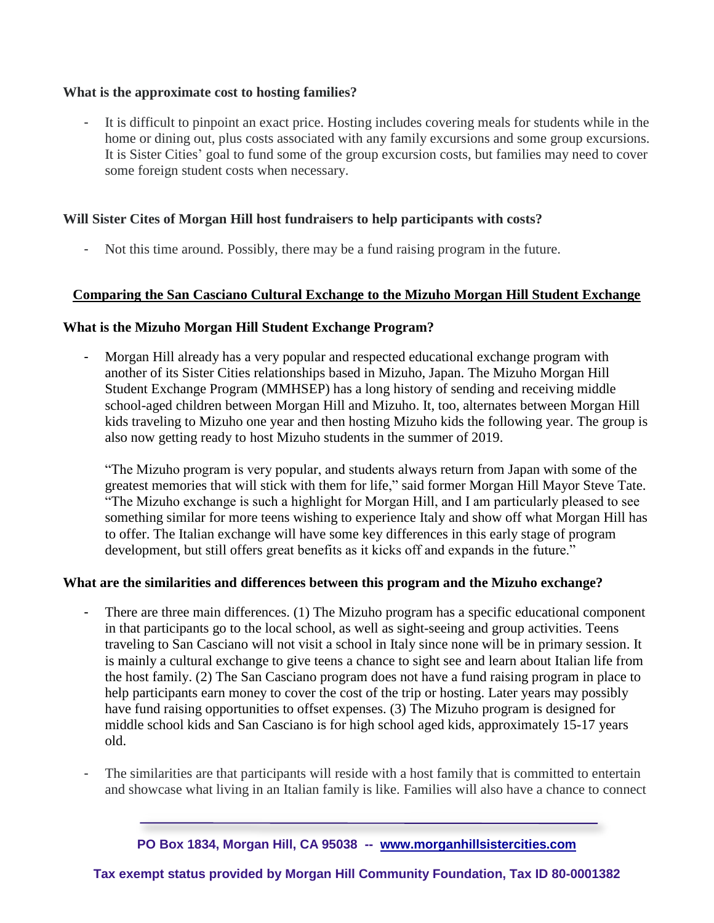## **What is the approximate cost to hosting families?**

It is difficult to pinpoint an exact price. Hosting includes covering meals for students while in the home or dining out, plus costs associated with any family excursions and some group excursions. It is Sister Cities' goal to fund some of the group excursion costs, but families may need to cover some foreign student costs when necessary.

## **Will Sister Cites of Morgan Hill host fundraisers to help participants with costs?**

- Not this time around. Possibly, there may be a fund raising program in the future.

## **Comparing the San Casciano Cultural Exchange to the Mizuho Morgan Hill Student Exchange**

#### **What is the Mizuho Morgan Hill Student Exchange Program?**

- Morgan Hill already has a very popular and respected educational exchange program with another of its Sister Cities relationships based in Mizuho, Japan. The Mizuho Morgan Hill Student Exchange Program (MMHSEP) has a long history of sending and receiving middle school-aged children between Morgan Hill and Mizuho. It, too, alternates between Morgan Hill kids traveling to Mizuho one year and then hosting Mizuho kids the following year. The group is also now getting ready to host Mizuho students in the summer of 2019.

"The Mizuho program is very popular, and students always return from Japan with some of the greatest memories that will stick with them for life," said former Morgan Hill Mayor Steve Tate. "The Mizuho exchange is such a highlight for Morgan Hill, and I am particularly pleased to see something similar for more teens wishing to experience Italy and show off what Morgan Hill has to offer. The Italian exchange will have some key differences in this early stage of program development, but still offers great benefits as it kicks off and expands in the future."

#### **What are the similarities and differences between this program and the Mizuho exchange?**

- There are three main differences. (1) The Mizuho program has a specific educational component in that participants go to the local school, as well as sight-seeing and group activities. Teens traveling to San Casciano will not visit a school in Italy since none will be in primary session. It is mainly a cultural exchange to give teens a chance to sight see and learn about Italian life from the host family. (2) The San Casciano program does not have a fund raising program in place to help participants earn money to cover the cost of the trip or hosting. Later years may possibly have fund raising opportunities to offset expenses. (3) The Mizuho program is designed for middle school kids and San Casciano is for high school aged kids, approximately 15-17 years old.
- The similarities are that participants will reside with a host family that is committed to entertain and showcase what living in an Italian family is like. Families will also have a chance to connect

**PO Box 1834, Morgan Hill, CA 95038 -- [www.morganhillsistercities.com](http://www.morganhillsistercities.com/)**

**Tax exempt status provided by Morgan Hill Community Foundation, Tax ID 80-0001382**